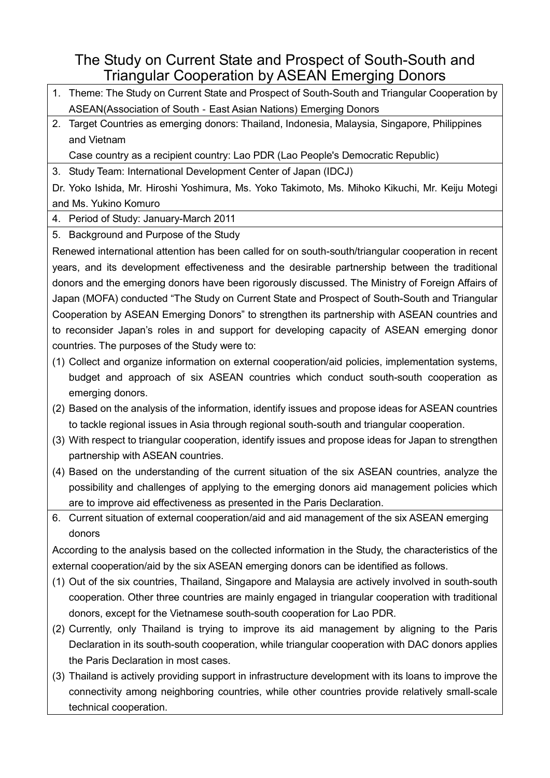## The Study on Current State and Prospect of South-South and Triangular Cooperation by ASEAN Emerging Donors

- 1. Theme: The Study on Current State and Prospect of South-South and Triangular Cooperation by ASEAN(Association of South‐East Asian Nations) Emerging Donors
- 2. Target Countries as emerging donors: Thailand, Indonesia, Malaysia, Singapore, Philippines and Vietnam

Case country as a recipient country: Lao PDR (Lao People's Democratic Republic)

3. Study Team: International Development Center of Japan (IDCJ)

Dr. Yoko Ishida, Mr. Hiroshi Yoshimura, Ms. Yoko Takimoto, Ms. Mihoko Kikuchi, Mr. Keiju Motegi and Ms. Yukino Komuro

4. Period of Study: January-March 2011

5. Background and Purpose of the Study

Renewed international attention has been called for on south-south/triangular cooperation in recent years, and its development effectiveness and the desirable partnership between the traditional donors and the emerging donors have been rigorously discussed. The Ministry of Foreign Affairs of Japan (MOFA) conducted "The Study on Current State and Prospect of South-South and Triangular Cooperation by ASEAN Emerging Donors" to strengthen its partnership with ASEAN countries and to reconsider Japan's roles in and support for developing capacity of ASEAN emerging donor countries. The purposes of the Study were to:

- (1) Collect and organize information on external cooperation/aid policies, implementation systems, budget and approach of six ASEAN countries which conduct south-south cooperation as emerging donors.
- (2) Based on the analysis of the information, identify issues and propose ideas for ASEAN countries to tackle regional issues in Asia through regional south-south and triangular cooperation.
- (3) With respect to triangular cooperation, identify issues and propose ideas for Japan to strengthen partnership with ASEAN countries.
- (4) Based on the understanding of the current situation of the six ASEAN countries, analyze the possibility and challenges of applying to the emerging donors aid management policies which are to improve aid effectiveness as presented in the Paris Declaration.
- 6. Current situation of external cooperation/aid and aid management of the six ASEAN emerging donors

According to the analysis based on the collected information in the Study, the characteristics of the external cooperation/aid by the six ASEAN emerging donors can be identified as follows.

- (1) Out of the six countries, Thailand, Singapore and Malaysia are actively involved in south-south cooperation. Other three countries are mainly engaged in triangular cooperation with traditional donors, except for the Vietnamese south-south cooperation for Lao PDR.
- (2) Currently, only Thailand is trying to improve its aid management by aligning to the Paris Declaration in its south-south cooperation, while triangular cooperation with DAC donors applies the Paris Declaration in most cases.
- (3) Thailand is actively providing support in infrastructure development with its loans to improve the connectivity among neighboring countries, while other countries provide relatively small-scale technical cooperation.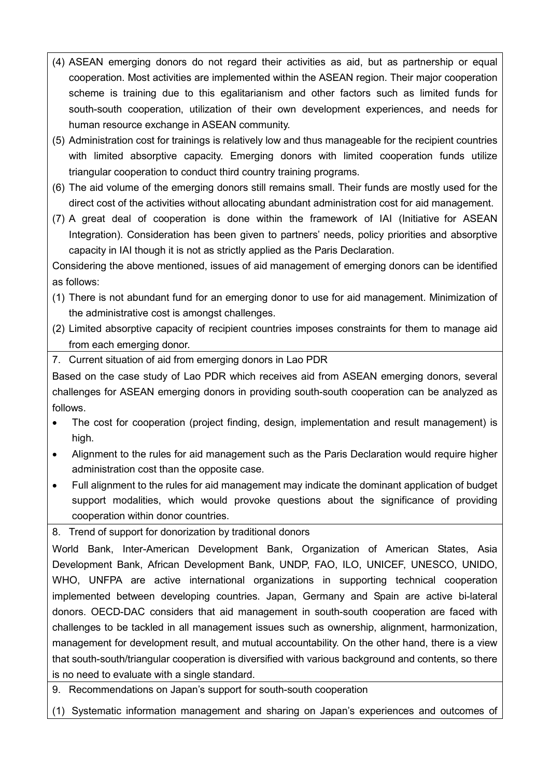- (4) ASEAN emerging donors do not regard their activities as aid, but as partnership or equal cooperation. Most activities are implemented within the ASEAN region. Their major cooperation scheme is training due to this egalitarianism and other factors such as limited funds for south-south cooperation, utilization of their own development experiences, and needs for human resource exchange in ASEAN community.
- (5) Administration cost for trainings is relatively low and thus manageable for the recipient countries with limited absorptive capacity. Emerging donors with limited cooperation funds utilize triangular cooperation to conduct third country training programs.
- (6) The aid volume of the emerging donors still remains small. Their funds are mostly used for the direct cost of the activities without allocating abundant administration cost for aid management.
- (7) A great deal of cooperation is done within the framework of IAI (Initiative for ASEAN Integration). Consideration has been given to partners' needs, policy priorities and absorptive capacity in IAI though it is not as strictly applied as the Paris Declaration.

Considering the above mentioned, issues of aid management of emerging donors can be identified as follows:

- (1) There is not abundant fund for an emerging donor to use for aid management. Minimization of the administrative cost is amongst challenges.
- (2) Limited absorptive capacity of recipient countries imposes constraints for them to manage aid from each emerging donor.
- 7. Current situation of aid from emerging donors in Lao PDR

Based on the case study of Lao PDR which receives aid from ASEAN emerging donors, several challenges for ASEAN emerging donors in providing south-south cooperation can be analyzed as follows.

- · The cost for cooperation (project finding, design, implementation and result management) is high.
- · Alignment to the rules for aid management such as the Paris Declaration would require higher administration cost than the opposite case.
- · Full alignment to the rules for aid management may indicate the dominant application of budget support modalities, which would provoke questions about the significance of providing cooperation within donor countries.

8. Trend of support for donorization by traditional donors

World Bank, Inter-American Development Bank, Organization of American States, Asia Development Bank, African Development Bank, UNDP, FAO, ILO, UNICEF, UNESCO, UNIDO, WHO, UNFPA are active international organizations in supporting technical cooperation implemented between developing countries. Japan, Germany and Spain are active bi-lateral donors. OECD-DAC considers that aid management in south-south cooperation are faced with challenges to be tackled in all management issues such as ownership, alignment, harmonization, management for development result, and mutual accountability. On the other hand, there is a view that south-south/triangular cooperation is diversified with various background and contents, so there is no need to evaluate with a single standard.

9. Recommendations on Japan's support for south-south cooperation

(1) Systematic information management and sharing on Japan's experiences and outcomes of